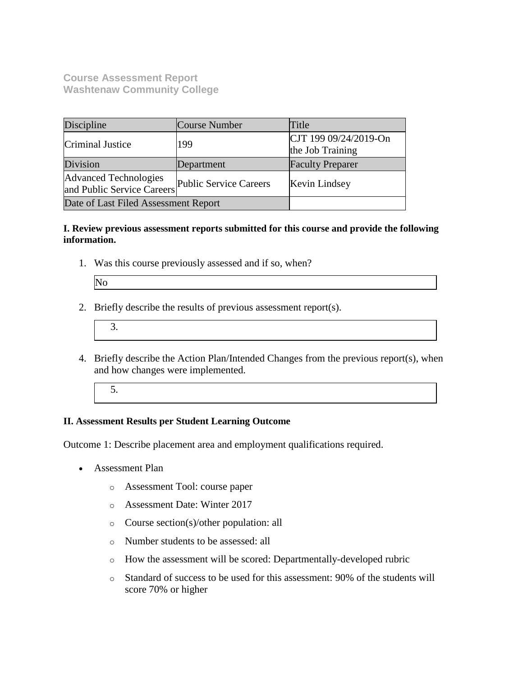**Course Assessment Report Washtenaw Community College**

| Discipline                                                 | Course Number          | Title                                     |
|------------------------------------------------------------|------------------------|-------------------------------------------|
| Criminal Justice                                           | 199                    | CJT 199 09/24/2019-On<br>the Job Training |
| Division                                                   | Department             | <b>Faculty Preparer</b>                   |
| <b>Advanced Technologies</b><br>and Public Service Careers | Public Service Careers | Kevin Lindsey                             |
| Date of Last Filed Assessment Report                       |                        |                                           |

## **I. Review previous assessment reports submitted for this course and provide the following information.**

1. Was this course previously assessed and if so, when?

| IN |  |
|----|--|
|    |  |
|    |  |
|    |  |

- 2. Briefly describe the results of previous assessment report(s).
	- 3.
- 4. Briefly describe the Action Plan/Intended Changes from the previous report(s), when and how changes were implemented.
	- 5.

## **II. Assessment Results per Student Learning Outcome**

Outcome 1: Describe placement area and employment qualifications required.

- Assessment Plan
	- o Assessment Tool: course paper
	- o Assessment Date: Winter 2017
	- o Course section(s)/other population: all
	- o Number students to be assessed: all
	- o How the assessment will be scored: Departmentally-developed rubric
	- o Standard of success to be used for this assessment: 90% of the students will score 70% or higher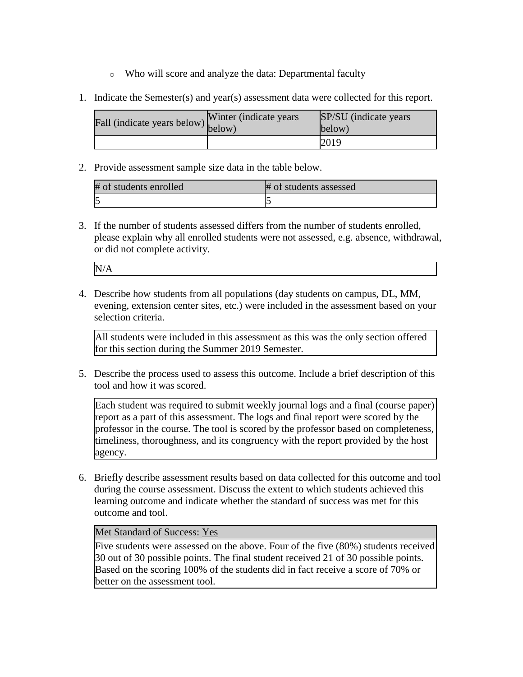- o Who will score and analyze the data: Departmental faculty
- 1. Indicate the Semester(s) and year(s) assessment data were collected for this report.

| Fall (indicate years below) $\begin{bmatrix}$ while | Winter (indicate years) | SP/SU (indicate years)<br>below) |
|-----------------------------------------------------|-------------------------|----------------------------------|
|                                                     |                         | 2019                             |

2. Provide assessment sample size data in the table below.

| # of students enrolled | # of students assessed |
|------------------------|------------------------|
|                        |                        |

3. If the number of students assessed differs from the number of students enrolled, please explain why all enrolled students were not assessed, e.g. absence, withdrawal, or did not complete activity.

| N/<br>. . |  |  |
|-----------|--|--|
|           |  |  |

4. Describe how students from all populations (day students on campus, DL, MM, evening, extension center sites, etc.) were included in the assessment based on your selection criteria.

All students were included in this assessment as this was the only section offered for this section during the Summer 2019 Semester.

5. Describe the process used to assess this outcome. Include a brief description of this tool and how it was scored.

Each student was required to submit weekly journal logs and a final (course paper) report as a part of this assessment. The logs and final report were scored by the professor in the course. The tool is scored by the professor based on completeness, timeliness, thoroughness, and its congruency with the report provided by the host agency.

6. Briefly describe assessment results based on data collected for this outcome and tool during the course assessment. Discuss the extent to which students achieved this learning outcome and indicate whether the standard of success was met for this outcome and tool.

## Met Standard of Success: Yes

Five students were assessed on the above. Four of the five (80%) students received 30 out of 30 possible points. The final student received 21 of 30 possible points. Based on the scoring 100% of the students did in fact receive a score of 70% or better on the assessment tool.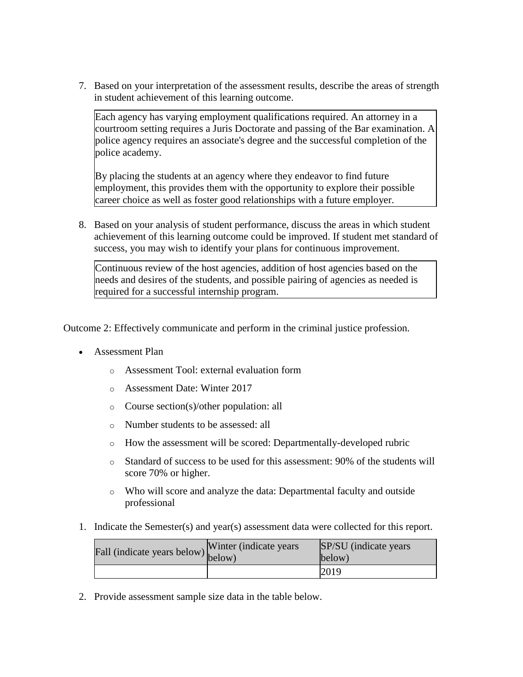7. Based on your interpretation of the assessment results, describe the areas of strength in student achievement of this learning outcome.

Each agency has varying employment qualifications required. An attorney in a courtroom setting requires a Juris Doctorate and passing of the Bar examination. A police agency requires an associate's degree and the successful completion of the police academy.

By placing the students at an agency where they endeavor to find future employment, this provides them with the opportunity to explore their possible career choice as well as foster good relationships with a future employer.

8. Based on your analysis of student performance, discuss the areas in which student achievement of this learning outcome could be improved. If student met standard of success, you may wish to identify your plans for continuous improvement.

Continuous review of the host agencies, addition of host agencies based on the needs and desires of the students, and possible pairing of agencies as needed is required for a successful internship program.

Outcome 2: Effectively communicate and perform in the criminal justice profession.

- Assessment Plan
	- o Assessment Tool: external evaluation form
	- o Assessment Date: Winter 2017
	- o Course section(s)/other population: all
	- o Number students to be assessed: all
	- o How the assessment will be scored: Departmentally-developed rubric
	- o Standard of success to be used for this assessment: 90% of the students will score 70% or higher.
	- o Who will score and analyze the data: Departmental faculty and outside professional
- 1. Indicate the Semester(s) and year(s) assessment data were collected for this report.

| Fall (indicate years below) below) | Winter (indicate years | SP/SU (indicate years)<br>below) |
|------------------------------------|------------------------|----------------------------------|
|                                    |                        | 2019                             |

2. Provide assessment sample size data in the table below.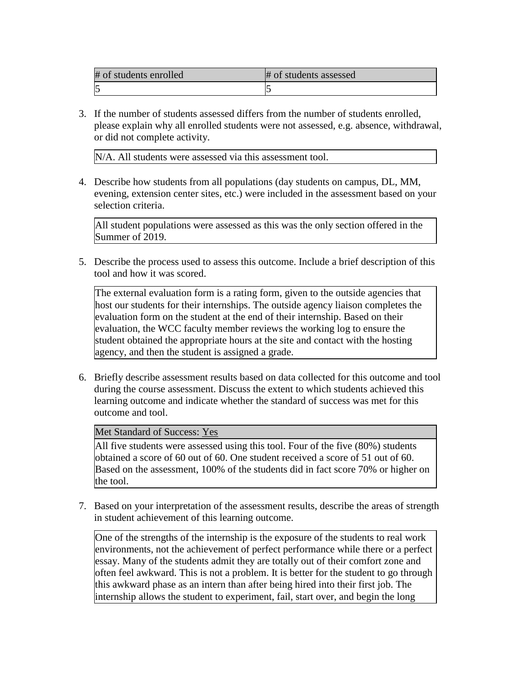| # of students enrolled | # of students assessed |
|------------------------|------------------------|
|                        |                        |

3. If the number of students assessed differs from the number of students enrolled, please explain why all enrolled students were not assessed, e.g. absence, withdrawal, or did not complete activity.

N/A. All students were assessed via this assessment tool.

4. Describe how students from all populations (day students on campus, DL, MM, evening, extension center sites, etc.) were included in the assessment based on your selection criteria.

All student populations were assessed as this was the only section offered in the Summer of 2019.

5. Describe the process used to assess this outcome. Include a brief description of this tool and how it was scored.

The external evaluation form is a rating form, given to the outside agencies that host our students for their internships. The outside agency liaison completes the evaluation form on the student at the end of their internship. Based on their evaluation, the WCC faculty member reviews the working log to ensure the student obtained the appropriate hours at the site and contact with the hosting agency, and then the student is assigned a grade.

6. Briefly describe assessment results based on data collected for this outcome and tool during the course assessment. Discuss the extent to which students achieved this learning outcome and indicate whether the standard of success was met for this outcome and tool.

Met Standard of Success: Yes

All five students were assessed using this tool. Four of the five (80%) students obtained a score of 60 out of 60. One student received a score of 51 out of 60. Based on the assessment, 100% of the students did in fact score 70% or higher on the tool.

7. Based on your interpretation of the assessment results, describe the areas of strength in student achievement of this learning outcome.

One of the strengths of the internship is the exposure of the students to real work environments, not the achievement of perfect performance while there or a perfect essay. Many of the students admit they are totally out of their comfort zone and often feel awkward. This is not a problem. It is better for the student to go through this awkward phase as an intern than after being hired into their first job. The internship allows the student to experiment, fail, start over, and begin the long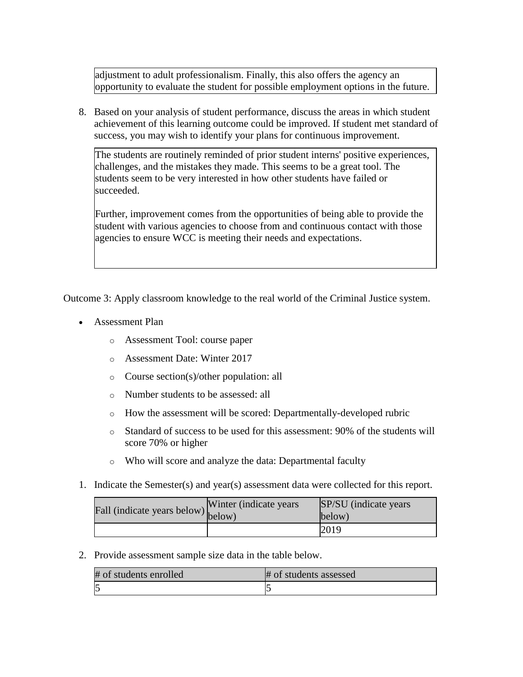adjustment to adult professionalism. Finally, this also offers the agency an opportunity to evaluate the student for possible employment options in the future.

8. Based on your analysis of student performance, discuss the areas in which student achievement of this learning outcome could be improved. If student met standard of success, you may wish to identify your plans for continuous improvement.

The students are routinely reminded of prior student interns' positive experiences, challenges, and the mistakes they made. This seems to be a great tool. The students seem to be very interested in how other students have failed or succeeded.

Further, improvement comes from the opportunities of being able to provide the student with various agencies to choose from and continuous contact with those agencies to ensure WCC is meeting their needs and expectations.

Outcome 3: Apply classroom knowledge to the real world of the Criminal Justice system.

- Assessment Plan
	- o Assessment Tool: course paper
	- o Assessment Date: Winter 2017
	- o Course section(s)/other population: all
	- o Number students to be assessed: all
	- o How the assessment will be scored: Departmentally-developed rubric
	- o Standard of success to be used for this assessment: 90% of the students will score 70% or higher
	- o Who will score and analyze the data: Departmental faculty
- 1. Indicate the Semester(s) and year(s) assessment data were collected for this report.

| rall (indicate years below) below) | Winter (indicate years) | SP/SU (indicate years)<br>below) |
|------------------------------------|-------------------------|----------------------------------|
|                                    |                         | 2019                             |

2. Provide assessment sample size data in the table below.

| # of students enrolled | # of students assessed |
|------------------------|------------------------|
|                        |                        |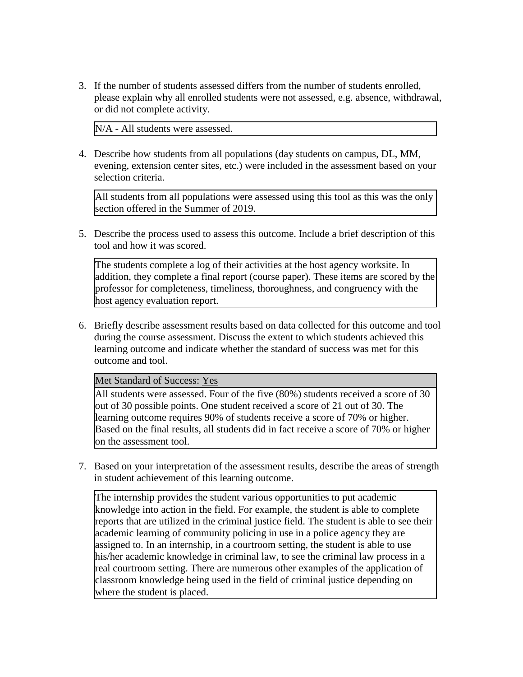3. If the number of students assessed differs from the number of students enrolled, please explain why all enrolled students were not assessed, e.g. absence, withdrawal, or did not complete activity.

N/A - All students were assessed.

4. Describe how students from all populations (day students on campus, DL, MM, evening, extension center sites, etc.) were included in the assessment based on your selection criteria.

All students from all populations were assessed using this tool as this was the only section offered in the Summer of 2019.

5. Describe the process used to assess this outcome. Include a brief description of this tool and how it was scored.

The students complete a log of their activities at the host agency worksite. In addition, they complete a final report (course paper). These items are scored by the professor for completeness, timeliness, thoroughness, and congruency with the host agency evaluation report.

6. Briefly describe assessment results based on data collected for this outcome and tool during the course assessment. Discuss the extent to which students achieved this learning outcome and indicate whether the standard of success was met for this outcome and tool.

Met Standard of Success: Yes

All students were assessed. Four of the five (80%) students received a score of 30 out of 30 possible points. One student received a score of 21 out of 30. The learning outcome requires 90% of students receive a score of 70% or higher. Based on the final results, all students did in fact receive a score of 70% or higher on the assessment tool.

7. Based on your interpretation of the assessment results, describe the areas of strength in student achievement of this learning outcome.

The internship provides the student various opportunities to put academic knowledge into action in the field. For example, the student is able to complete reports that are utilized in the criminal justice field. The student is able to see their academic learning of community policing in use in a police agency they are assigned to. In an internship, in a courtroom setting, the student is able to use his/her academic knowledge in criminal law, to see the criminal law process in a real courtroom setting. There are numerous other examples of the application of classroom knowledge being used in the field of criminal justice depending on where the student is placed.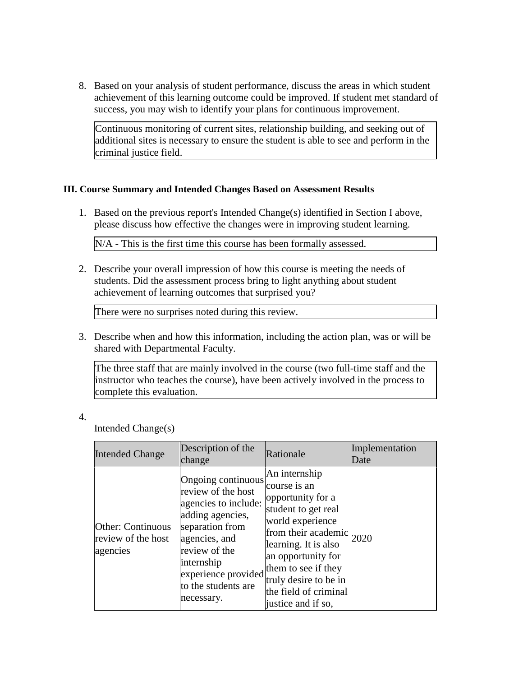8. Based on your analysis of student performance, discuss the areas in which student achievement of this learning outcome could be improved. If student met standard of success, you may wish to identify your plans for continuous improvement.

Continuous monitoring of current sites, relationship building, and seeking out of additional sites is necessary to ensure the student is able to see and perform in the criminal justice field.

## **III. Course Summary and Intended Changes Based on Assessment Results**

1. Based on the previous report's Intended Change(s) identified in Section I above, please discuss how effective the changes were in improving student learning.

N/A - This is the first time this course has been formally assessed.

2. Describe your overall impression of how this course is meeting the needs of students. Did the assessment process bring to light anything about student achievement of learning outcomes that surprised you?

There were no surprises noted during this review.

3. Describe when and how this information, including the action plan, was or will be shared with Departmental Faculty.

The three staff that are mainly involved in the course (two full-time staff and the instructor who teaches the course), have been actively involved in the process to complete this evaluation.

## 4.

Intended Change(s)

| <b>Intended Change</b>                                     | Description of the<br>change                                                                                                                                                                                        | Rationale                                                                                                                                                                                                                                                                    | Implementation<br>Date |
|------------------------------------------------------------|---------------------------------------------------------------------------------------------------------------------------------------------------------------------------------------------------------------------|------------------------------------------------------------------------------------------------------------------------------------------------------------------------------------------------------------------------------------------------------------------------------|------------------------|
| <b>Other: Continuous</b><br>review of the host<br>agencies | Ongoing continuous<br>review of the host<br>agencies to include:<br>adding agencies,<br>separation from<br>agencies, and<br>review of the<br>internship<br>experience provided<br>to the students are<br>necessary. | An internship<br>course is an<br>opportunity for a<br>student to get real<br>world experience<br>from their academic $ _{2020}$<br>learning. It is also<br>an opportunity for<br>them to see if they<br>truly desire to be in<br>the field of criminal<br>justice and if so, |                        |